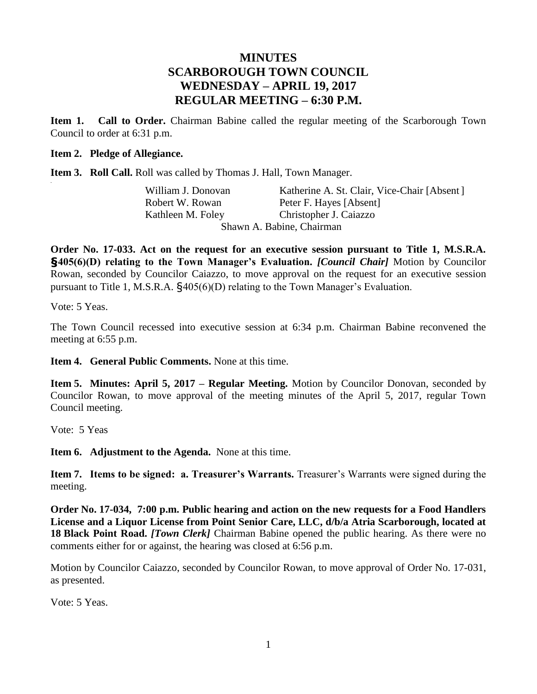# **MINUTES SCARBOROUGH TOWN COUNCIL WEDNESDAY – APRIL 19, 2017 REGULAR MEETING – 6:30 P.M.**

**Item 1. Call to Order.** Chairman Babine called the regular meeting of the Scarborough Town Council to order at 6:31 p.m.

#### **Item 2. Pledge of Allegiance.**

**Item 3. Roll Call.** Roll was called by Thomas J. Hall, Town Manager.

William J. Donovan Katherine A. St. Clair, Vice-Chair [Absent] Robert W. Rowan Peter F. Hayes [Absent] Kathleen M. Foley Christopher J. Caiazzo Shawn A. Babine, Chairman

**Order No. 17-033. Act on the request for an executive session pursuant to Title 1, M.S.R.A. §405(6)(D) relating to the Town Manager's Evaluation.** *[Council Chair]* Motion by Councilor Rowan, seconded by Councilor Caiazzo, to move approval on the request for an executive session pursuant to Title 1, M.S.R.A. §405(6)(D) relating to the Town Manager's Evaluation.

Vote: 5 Yeas.

.

The Town Council recessed into executive session at 6:34 p.m. Chairman Babine reconvened the meeting at 6:55 p.m.

**Item 4. General Public Comments.** None at this time.

**Item 5. Minutes: April 5, 2017 – Regular Meeting.** Motion by Councilor Donovan, seconded by Councilor Rowan, to move approval of the meeting minutes of the April 5, 2017, regular Town Council meeting.

Vote: 5 Yeas

**Item 6. Adjustment to the Agenda.** None at this time.

**Item 7. Items to be signed: a. Treasurer's Warrants.** Treasurer's Warrants were signed during the meeting.

**Order No. 17-034, 7:00 p.m. Public hearing and action on the new requests for a Food Handlers License and a Liquor License from Point Senior Care, LLC, d/b/a Atria Scarborough, located at 18 Black Point Road.** *[Town Clerk]* Chairman Babine opened the public hearing. As there were no comments either for or against, the hearing was closed at 6:56 p.m.

Motion by Councilor Caiazzo, seconded by Councilor Rowan, to move approval of Order No. 17-031, as presented.

Vote: 5 Yeas.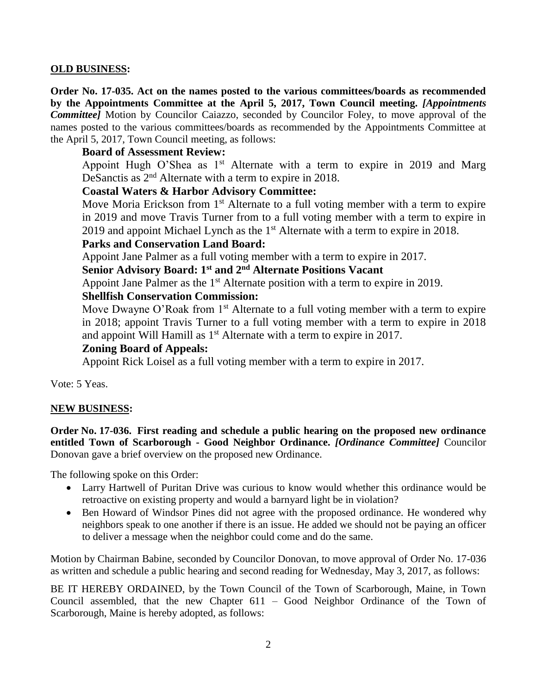## **OLD BUSINESS:**

**Order No. 17-035. Act on the names posted to the various committees/boards as recommended by the Appointments Committee at the April 5, 2017, Town Council meeting.** *[Appointments Committee]* Motion by Councilor Caiazzo, seconded by Councilor Foley, to move approval of the names posted to the various committees/boards as recommended by the Appointments Committee at the April 5, 2017, Town Council meeting, as follows:

## **Board of Assessment Review:**

Appoint Hugh O'Shea as  $1<sup>st</sup>$  Alternate with a term to expire in 2019 and Marg DeSanctis as 2<sup>nd</sup> Alternate with a term to expire in 2018.

## **Coastal Waters & Harbor Advisory Committee:**

Move Moria Erickson from  $1<sup>st</sup>$  Alternate to a full voting member with a term to expire in 2019 and move Travis Turner from to a full voting member with a term to expire in 2019 and appoint Michael Lynch as the  $1<sup>st</sup>$  Alternate with a term to expire in 2018.

## **Parks and Conservation Land Board:**

Appoint Jane Palmer as a full voting member with a term to expire in 2017.

## **Senior Advisory Board: 1st and 2nd Alternate Positions Vacant**

Appoint Jane Palmer as the 1<sup>st</sup> Alternate position with a term to expire in 2019.

## **Shellfish Conservation Commission:**

Move Dwayne O'Roak from  $1<sup>st</sup>$  Alternate to a full voting member with a term to expire in 2018; appoint Travis Turner to a full voting member with a term to expire in 2018 and appoint Will Hamill as  $1<sup>st</sup>$  Alternate with a term to expire in 2017.

## **Zoning Board of Appeals:**

Appoint Rick Loisel as a full voting member with a term to expire in 2017.

Vote: 5 Yeas.

## **NEW BUSINESS:**

**Order No. 17-036. First reading and schedule a public hearing on the proposed new ordinance entitled Town of Scarborough - Good Neighbor Ordinance.** *[Ordinance Committee]* Councilor Donovan gave a brief overview on the proposed new Ordinance.

The following spoke on this Order:

- Larry Hartwell of Puritan Drive was curious to know would whether this ordinance would be retroactive on existing property and would a barnyard light be in violation?
- Ben Howard of Windsor Pines did not agree with the proposed ordinance. He wondered why neighbors speak to one another if there is an issue. He added we should not be paying an officer to deliver a message when the neighbor could come and do the same.

Motion by Chairman Babine, seconded by Councilor Donovan, to move approval of Order No. 17-036 as written and schedule a public hearing and second reading for Wednesday, May 3, 2017, as follows:

BE IT HEREBY ORDAINED, by the Town Council of the Town of Scarborough, Maine, in Town Council assembled, that the new Chapter 611 – Good Neighbor Ordinance of the Town of Scarborough, Maine is hereby adopted, as follows: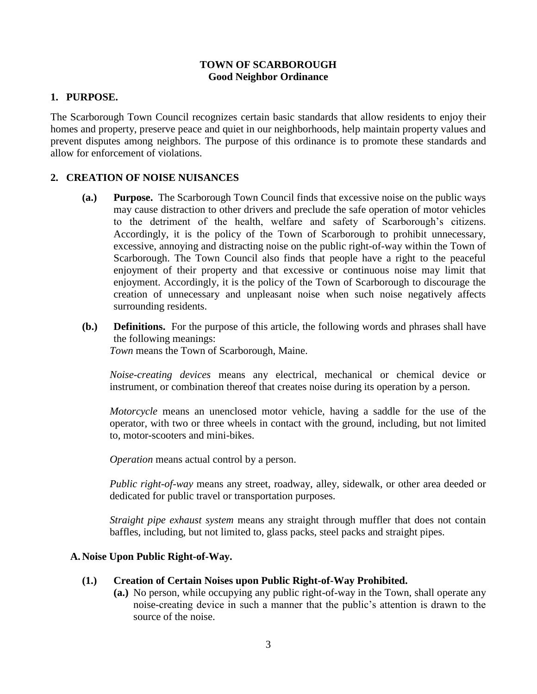### **TOWN OF SCARBOROUGH Good Neighbor Ordinance**

## **1. PURPOSE.**

The Scarborough Town Council recognizes certain basic standards that allow residents to enjoy their homes and property, preserve peace and quiet in our neighborhoods, help maintain property values and prevent disputes among neighbors. The purpose of this ordinance is to promote these standards and allow for enforcement of violations.

## **2. CREATION OF NOISE NUISANCES**

- **(a.) Purpose.** The Scarborough Town Council finds that excessive noise on the public ways may cause distraction to other drivers and preclude the safe operation of motor vehicles to the detriment of the health, welfare and safety of Scarborough's citizens. Accordingly, it is the policy of the Town of Scarborough to prohibit unnecessary, excessive, annoying and distracting noise on the public right-of-way within the Town of Scarborough. The Town Council also finds that people have a right to the peaceful enjoyment of their property and that excessive or continuous noise may limit that enjoyment. Accordingly, it is the policy of the Town of Scarborough to discourage the creation of unnecessary and unpleasant noise when such noise negatively affects surrounding residents.
- **(b.) Definitions.** For the purpose of this article, the following words and phrases shall have the following meanings: *Town* means the Town of Scarborough, Maine.

*Noise-creating devices* means any electrical, mechanical or chemical device or instrument, or combination thereof that creates noise during its operation by a person.

*Motorcycle* means an unenclosed motor vehicle, having a saddle for the use of the operator, with two or three wheels in contact with the ground, including, but not limited to, motor-scooters and mini-bikes.

*Operation* means actual control by a person.

*Public right-of-way* means any street, roadway, alley, sidewalk, or other area deeded or dedicated for public travel or transportation purposes.

*Straight pipe exhaust system* means any straight through muffler that does not contain baffles, including, but not limited to, glass packs, steel packs and straight pipes.

## **A. Noise Upon Public Right-of-Way.**

#### **(1.) Creation of Certain Noises upon Public Right-of-Way Prohibited.**

**(a.)** No person, while occupying any public right-of-way in the Town, shall operate any noise-creating device in such a manner that the public's attention is drawn to the source of the noise.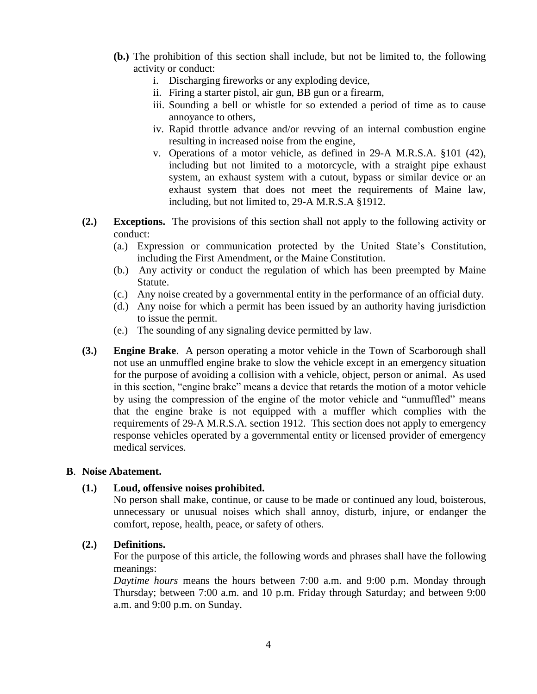- **(b.)** The prohibition of this section shall include, but not be limited to, the following activity or conduct:
	- i. Discharging fireworks or any exploding device,
	- ii. Firing a starter pistol, air gun, BB gun or a firearm,
	- iii. Sounding a bell or whistle for so extended a period of time as to cause annoyance to others,
	- iv. Rapid throttle advance and/or revving of an internal combustion engine resulting in increased noise from the engine,
	- v. Operations of a motor vehicle, as defined in 29-A M.R.S.A. §101 (42), including but not limited to a motorcycle, with a straight pipe exhaust system, an exhaust system with a cutout, bypass or similar device or an exhaust system that does not meet the requirements of Maine law, including, but not limited to, 29-A M.R.S.A §1912.
- **(2.) Exceptions.** The provisions of this section shall not apply to the following activity or conduct:
	- (a.) Expression or communication protected by the United State's Constitution, including the First Amendment, or the Maine Constitution.
	- (b.) Any activity or conduct the regulation of which has been preempted by Maine Statute.
	- (c.) Any noise created by a governmental entity in the performance of an official duty.
	- (d.) Any noise for which a permit has been issued by an authority having jurisdiction to issue the permit.
	- (e.) The sounding of any signaling device permitted by law.
- **(3.) Engine Brake**. A person operating a motor vehicle in the Town of Scarborough shall not use an unmuffled engine brake to slow the vehicle except in an emergency situation for the purpose of avoiding a collision with a vehicle, object, person or animal. As used in this section, "engine brake" means a device that retards the motion of a motor vehicle by using the compression of the engine of the motor vehicle and "unmuffled" means that the engine brake is not equipped with a muffler which complies with the requirements of 29-A M.R.S.A. section 1912. This section does not apply to emergency response vehicles operated by a governmental entity or licensed provider of emergency medical services.

#### **B**. **Noise Abatement.**

## **(1.) Loud, offensive noises prohibited.**

No person shall make, continue, or cause to be made or continued any loud, boisterous, unnecessary or unusual noises which shall annoy, disturb, injure, or endanger the comfort, repose, health, peace, or safety of others.

#### **(2.) Definitions.**

For the purpose of this article, the following words and phrases shall have the following meanings:

*Daytime hours* means the hours between 7:00 a.m. and 9:00 p.m. Monday through Thursday; between 7:00 a.m. and 10 p.m. Friday through Saturday; and between 9:00 a.m. and 9:00 p.m. on Sunday.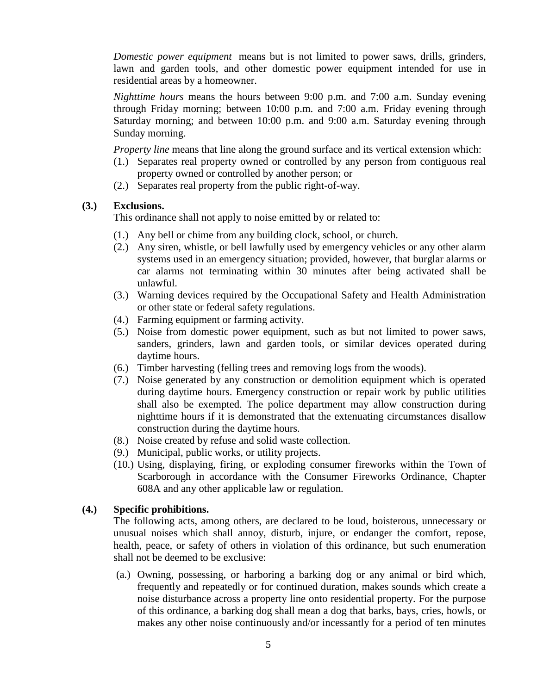*Domestic power equipment* means but is not limited to power saws, drills, grinders, lawn and garden tools, and other domestic power equipment intended for use in residential areas by a homeowner.

*Nighttime hours* means the hours between 9:00 p.m. and 7:00 a.m. Sunday evening through Friday morning; between 10:00 p.m. and 7:00 a.m. Friday evening through Saturday morning; and between 10:00 p.m. and 9:00 a.m. Saturday evening through Sunday morning.

*Property line* means that line along the ground surface and its vertical extension which:

- (1.) Separates real property owned or controlled by any person from contiguous real property owned or controlled by another person; or
- (2.) Separates real property from the public right-of-way.

#### **(3.) Exclusions.**

This ordinance shall not apply to noise emitted by or related to:

- (1.) Any bell or chime from any building clock, school, or church.
- (2.) Any siren, whistle, or bell lawfully used by emergency vehicles or any other alarm systems used in an emergency situation; provided, however, that burglar alarms or car alarms not terminating within 30 minutes after being activated shall be unlawful.
- (3.) Warning devices required by the Occupational Safety and Health Administration or other state or federal safety regulations.
- (4.) Farming equipment or farming activity.
- (5.) Noise from domestic power equipment, such as but not limited to power saws, sanders, grinders, lawn and garden tools, or similar devices operated during daytime hours.
- (6.) Timber harvesting (felling trees and removing logs from the woods).
- (7.) Noise generated by any construction or demolition equipment which is operated during daytime hours. Emergency construction or repair work by public utilities shall also be exempted. The police department may allow construction during nighttime hours if it is demonstrated that the extenuating circumstances disallow construction during the daytime hours.
- (8.) Noise created by refuse and solid waste collection.
- (9.) Municipal, public works, or utility projects.
- (10.) Using, displaying, firing, or exploding consumer fireworks within the Town of Scarborough in accordance with the Consumer Fireworks Ordinance, Chapter 608A and any other applicable law or regulation.

#### **(4.) Specific prohibitions.**

The following acts, among others, are declared to be loud, boisterous, unnecessary or unusual noises which shall annoy, disturb, injure, or endanger the comfort, repose, health, peace, or safety of others in violation of this ordinance, but such enumeration shall not be deemed to be exclusive:

(a.) Owning, possessing, or harboring a barking dog or any animal or bird which, frequently and repeatedly or for continued duration, makes sounds which create a noise disturbance across a property line onto residential property. For the purpose of this ordinance, a barking dog shall mean a dog that barks, bays, cries, howls, or makes any other noise continuously and/or incessantly for a period of ten minutes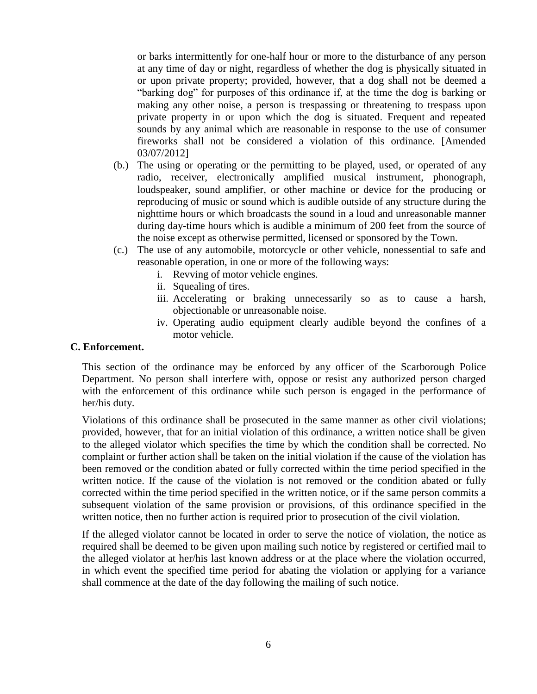or barks intermittently for one-half hour or more to the disturbance of any person at any time of day or night, regardless of whether the dog is physically situated in or upon private property; provided, however, that a dog shall not be deemed a "barking dog" for purposes of this ordinance if, at the time the dog is barking or making any other noise, a person is trespassing or threatening to trespass upon private property in or upon which the dog is situated. Frequent and repeated sounds by any animal which are reasonable in response to the use of consumer fireworks shall not be considered a violation of this ordinance. [Amended 03/07/2012]

- (b.) The using or operating or the permitting to be played, used, or operated of any radio, receiver, electronically amplified musical instrument, phonograph, loudspeaker, sound amplifier, or other machine or device for the producing or reproducing of music or sound which is audible outside of any structure during the nighttime hours or which broadcasts the sound in a loud and unreasonable manner during day-time hours which is audible a minimum of 200 feet from the source of the noise except as otherwise permitted, licensed or sponsored by the Town.
- (c.) The use of any automobile, motorcycle or other vehicle, nonessential to safe and reasonable operation, in one or more of the following ways:
	- i. Revving of motor vehicle engines.
	- ii. Squealing of tires.
	- iii. Accelerating or braking unnecessarily so as to cause a harsh, objectionable or unreasonable noise.
	- iv. Operating audio equipment clearly audible beyond the confines of a motor vehicle.

#### **C. Enforcement.**

This section of the ordinance may be enforced by any officer of the Scarborough Police Department. No person shall interfere with, oppose or resist any authorized person charged with the enforcement of this ordinance while such person is engaged in the performance of her/his duty.

Violations of this ordinance shall be prosecuted in the same manner as other civil violations; provided, however, that for an initial violation of this ordinance, a written notice shall be given to the alleged violator which specifies the time by which the condition shall be corrected. No complaint or further action shall be taken on the initial violation if the cause of the violation has been removed or the condition abated or fully corrected within the time period specified in the written notice. If the cause of the violation is not removed or the condition abated or fully corrected within the time period specified in the written notice, or if the same person commits a subsequent violation of the same provision or provisions, of this ordinance specified in the written notice, then no further action is required prior to prosecution of the civil violation.

If the alleged violator cannot be located in order to serve the notice of violation, the notice as required shall be deemed to be given upon mailing such notice by registered or certified mail to the alleged violator at her/his last known address or at the place where the violation occurred, in which event the specified time period for abating the violation or applying for a variance shall commence at the date of the day following the mailing of such notice.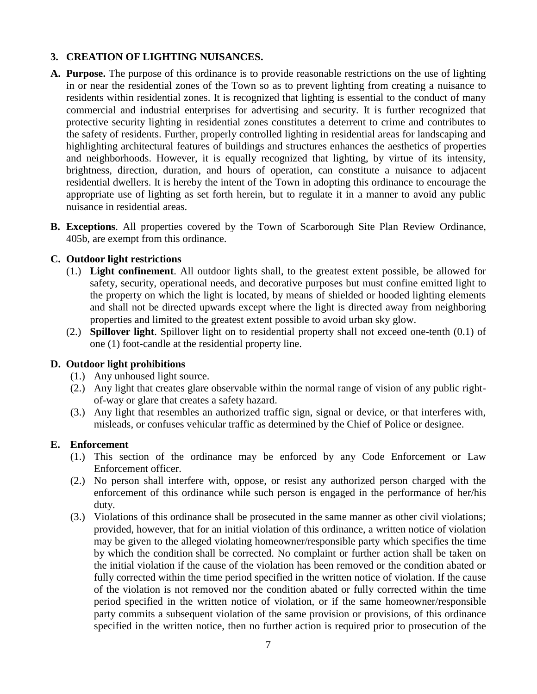## **3. CREATION OF LIGHTING NUISANCES.**

- **A. Purpose.** The purpose of this ordinance is to provide reasonable restrictions on the use of lighting in or near the residential zones of the Town so as to prevent lighting from creating a nuisance to residents within residential zones. It is recognized that lighting is essential to the conduct of many commercial and industrial enterprises for advertising and security. It is further recognized that protective security lighting in residential zones constitutes a deterrent to crime and contributes to the safety of residents. Further, properly controlled lighting in residential areas for landscaping and highlighting architectural features of buildings and structures enhances the aesthetics of properties and neighborhoods. However, it is equally recognized that lighting, by virtue of its intensity, brightness, direction, duration, and hours of operation, can constitute a nuisance to adjacent residential dwellers. It is hereby the intent of the Town in adopting this ordinance to encourage the appropriate use of lighting as set forth herein, but to regulate it in a manner to avoid any public nuisance in residential areas.
- **B. Exceptions**. All properties covered by the Town of Scarborough Site Plan Review Ordinance, 405b, are exempt from this ordinance.

## **C. Outdoor light restrictions**

- (1.) **Light confinement**. All outdoor lights shall, to the greatest extent possible, be allowed for safety, security, operational needs, and decorative purposes but must confine emitted light to the property on which the light is located, by means of shielded or hooded lighting elements and shall not be directed upwards except where the light is directed away from neighboring properties and limited to the greatest extent possible to avoid urban sky glow.
- (2.) **Spillover light**. Spillover light on to residential property shall not exceed one-tenth (0.1) of one (1) foot-candle at the residential property line.

#### **D. Outdoor light prohibitions**

- (1.) Any unhoused light source.
- (2.) Any light that creates glare observable within the normal range of vision of any public rightof-way or glare that creates a safety hazard.
- (3.) Any light that resembles an authorized traffic sign, signal or device, or that interferes with, misleads, or confuses vehicular traffic as determined by the Chief of Police or designee.

#### **E. Enforcement**

- (1.) This section of the ordinance may be enforced by any Code Enforcement or Law Enforcement officer.
- (2.) No person shall interfere with, oppose, or resist any authorized person charged with the enforcement of this ordinance while such person is engaged in the performance of her/his duty.
- (3.) Violations of this ordinance shall be prosecuted in the same manner as other civil violations; provided, however, that for an initial violation of this ordinance, a written notice of violation may be given to the alleged violating homeowner/responsible party which specifies the time by which the condition shall be corrected. No complaint or further action shall be taken on the initial violation if the cause of the violation has been removed or the condition abated or fully corrected within the time period specified in the written notice of violation. If the cause of the violation is not removed nor the condition abated or fully corrected within the time period specified in the written notice of violation, or if the same homeowner/responsible party commits a subsequent violation of the same provision or provisions, of this ordinance specified in the written notice, then no further action is required prior to prosecution of the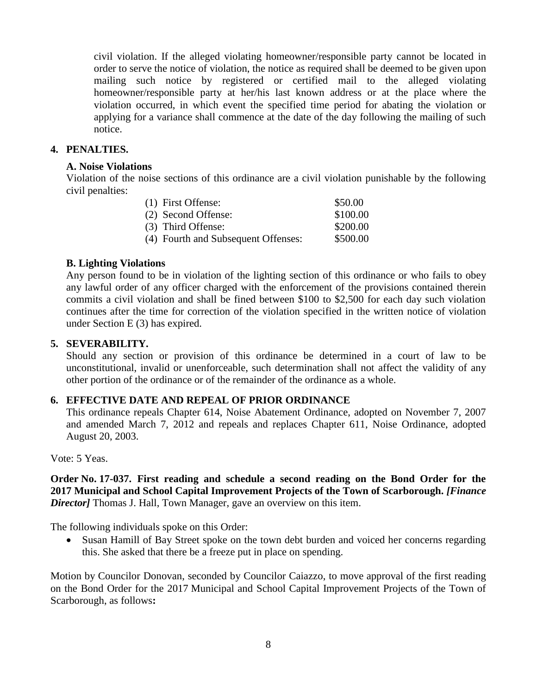civil violation. If the alleged violating homeowner/responsible party cannot be located in order to serve the notice of violation, the notice as required shall be deemed to be given upon mailing such notice by registered or certified mail to the alleged violating homeowner/responsible party at her/his last known address or at the place where the violation occurred, in which event the specified time period for abating the violation or applying for a variance shall commence at the date of the day following the mailing of such notice.

## **4. PENALTIES.**

### **A. Noise Violations**

Violation of the noise sections of this ordinance are a civil violation punishable by the following civil penalties:

| (1) First Offense:                  | \$50.00  |
|-------------------------------------|----------|
| (2) Second Offense:                 | \$100.00 |
| (3) Third Offense:                  | \$200.00 |
| (4) Fourth and Subsequent Offenses: | \$500.00 |

## **B. Lighting Violations**

Any person found to be in violation of the lighting section of this ordinance or who fails to obey any lawful order of any officer charged with the enforcement of the provisions contained therein commits a civil violation and shall be fined between \$100 to \$2,500 for each day such violation continues after the time for correction of the violation specified in the written notice of violation under Section E (3) has expired.

## **5. SEVERABILITY.**

Should any section or provision of this ordinance be determined in a court of law to be unconstitutional, invalid or unenforceable, such determination shall not affect the validity of any other portion of the ordinance or of the remainder of the ordinance as a whole.

## **6. EFFECTIVE DATE AND REPEAL OF PRIOR ORDINANCE**

This ordinance repeals Chapter 614, Noise Abatement Ordinance, adopted on November 7, 2007 and amended March 7, 2012 and repeals and replaces Chapter 611, Noise Ordinance, adopted August 20, 2003.

Vote: 5 Yeas.

## **Order No. 17-037. First reading and schedule a second reading on the Bond Order for the 2017 Municipal and School Capital Improvement Projects of the Town of Scarborough.** *[Finance Director]* Thomas J. Hall, Town Manager, gave an overview on this item.

The following individuals spoke on this Order:

• Susan Hamill of Bay Street spoke on the town debt burden and voiced her concerns regarding this. She asked that there be a freeze put in place on spending.

Motion by Councilor Donovan, seconded by Councilor Caiazzo, to move approval of the first reading on the Bond Order for the 2017 Municipal and School Capital Improvement Projects of the Town of Scarborough, as follows**:**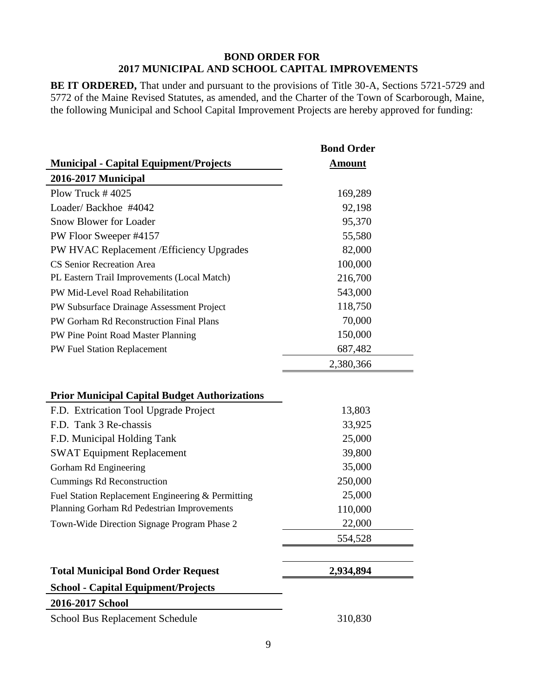#### **BOND ORDER FOR 2017 MUNICIPAL AND SCHOOL CAPITAL IMPROVEMENTS**

**BE IT ORDERED,** That under and pursuant to the provisions of Title 30-A, Sections 5721-5729 and 5772 of the Maine Revised Statutes, as amended, and the Charter of the Town of Scarborough, Maine, the following Municipal and School Capital Improvement Projects are hereby approved for funding:

**Bond Order**

|                                                      | DVIIU VI UCI  |  |
|------------------------------------------------------|---------------|--|
| <b>Municipal - Capital Equipment/Projects</b>        | <b>Amount</b> |  |
| 2016-2017 Municipal                                  |               |  |
| Plow Truck $\#$ 4025                                 | 169,289       |  |
| Loader/Backhoe #4042                                 | 92,198        |  |
| Snow Blower for Loader                               | 95,370        |  |
| PW Floor Sweeper #4157                               | 55,580        |  |
| PW HVAC Replacement / Efficiency Upgrades            | 82,000        |  |
| <b>CS Senior Recreation Area</b>                     | 100,000       |  |
| PL Eastern Trail Improvements (Local Match)          | 216,700       |  |
| PW Mid-Level Road Rehabilitation                     | 543,000       |  |
| PW Subsurface Drainage Assessment Project            | 118,750       |  |
| PW Gorham Rd Reconstruction Final Plans              | 70,000        |  |
| PW Pine Point Road Master Planning                   | 150,000       |  |
| PW Fuel Station Replacement                          | 687,482       |  |
|                                                      | 2,380,366     |  |
| <b>Prior Municipal Capital Budget Authorizations</b> |               |  |
| F.D. Extrication Tool Upgrade Project                | 13,803        |  |
| F.D. Tank 3 Re-chassis                               | 33,925        |  |
| F.D. Municipal Holding Tank                          | 25,000        |  |
| <b>SWAT Equipment Replacement</b>                    | 39,800        |  |
| Gorham Rd Engineering                                | 35,000        |  |
| Cummings Rd Reconstruction                           | 250,000       |  |
| Fuel Station Replacement Engineering & Permitting    | 25,000        |  |
| Planning Gorham Rd Pedestrian Improvements           | 110,000       |  |
| Town-Wide Direction Signage Program Phase 2          | 22,000        |  |
|                                                      | 554,528       |  |
| <b>Total Municipal Bond Order Request</b>            | 2,934,894     |  |
| <b>School - Capital Equipment/Projects</b>           |               |  |
| 2016-2017 School                                     |               |  |
| School Bus Replacement Schedule                      | 310,830       |  |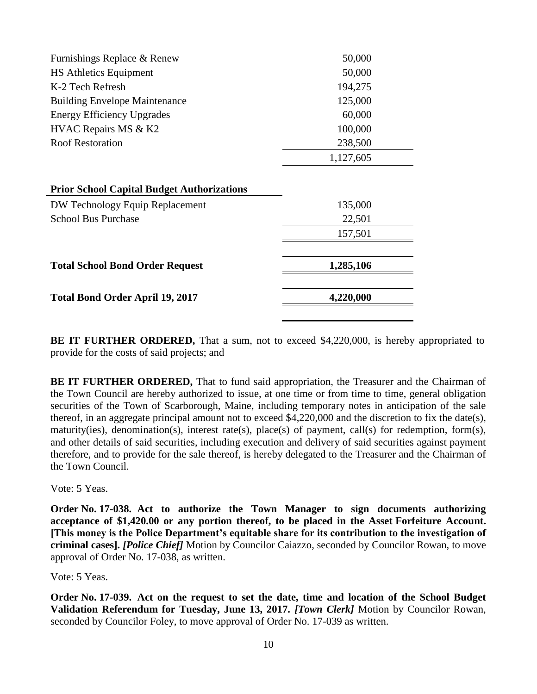| Furnishings Replace & Renew                       | 50,000    |  |  |
|---------------------------------------------------|-----------|--|--|
| <b>HS Athletics Equipment</b>                     | 50,000    |  |  |
| K-2 Tech Refresh                                  | 194,275   |  |  |
| <b>Building Envelope Maintenance</b>              | 125,000   |  |  |
| <b>Energy Efficiency Upgrades</b>                 | 60,000    |  |  |
| HVAC Repairs MS & K2                              | 100,000   |  |  |
| <b>Roof Restoration</b>                           | 238,500   |  |  |
|                                                   | 1,127,605 |  |  |
|                                                   |           |  |  |
| <b>Prior School Capital Budget Authorizations</b> |           |  |  |
| DW Technology Equip Replacement                   | 135,000   |  |  |
| <b>School Bus Purchase</b>                        | 22,501    |  |  |
|                                                   | 157,501   |  |  |
|                                                   |           |  |  |
| <b>Total School Bond Order Request</b>            | 1,285,106 |  |  |
|                                                   |           |  |  |
| <b>Total Bond Order April 19, 2017</b>            | 4,220,000 |  |  |
|                                                   |           |  |  |

**BE IT FURTHER ORDERED,** That a sum, not to exceed \$4,220,000, is hereby appropriated to provide for the costs of said projects; and

**BE IT FURTHER ORDERED,** That to fund said appropriation, the Treasurer and the Chairman of the Town Council are hereby authorized to issue, at one time or from time to time, general obligation securities of the Town of Scarborough, Maine, including temporary notes in anticipation of the sale thereof, in an aggregate principal amount not to exceed \$4,220,000 and the discretion to fix the date(s), maturity(ies), denomination(s), interest rate(s), place(s) of payment, call(s) for redemption, form(s), and other details of said securities, including execution and delivery of said securities against payment therefore, and to provide for the sale thereof, is hereby delegated to the Treasurer and the Chairman of the Town Council.

Vote: 5 Yeas.

**Order No. 17-038. Act to authorize the Town Manager to sign documents authorizing acceptance of \$1,420.00 or any portion thereof, to be placed in the Asset Forfeiture Account. [This money is the Police Department's equitable share for its contribution to the investigation of criminal cases].** *[Police Chief]* Motion by Councilor Caiazzo, seconded by Councilor Rowan, to move approval of Order No. 17-038, as written.

Vote: 5 Yeas.

**Order No. 17-039. Act on the request to set the date, time and location of the School Budget Validation Referendum for Tuesday, June 13, 2017.** *[Town Clerk]* Motion by Councilor Rowan, seconded by Councilor Foley, to move approval of Order No. 17-039 as written.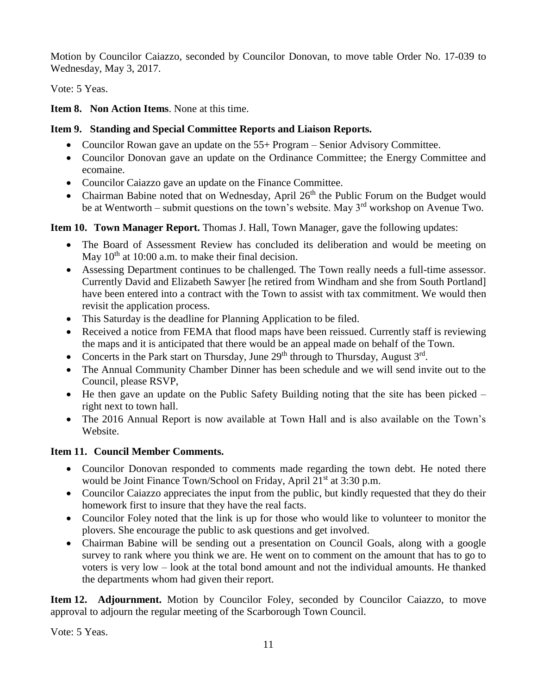Motion by Councilor Caiazzo, seconded by Councilor Donovan, to move table Order No. 17-039 to Wednesday, May 3, 2017.

Vote: 5 Yeas.

**Item 8. Non Action Items**. None at this time.

## **Item 9. Standing and Special Committee Reports and Liaison Reports.**

- Councilor Rowan gave an update on the 55+ Program Senior Advisory Committee.
- Councilor Donovan gave an update on the Ordinance Committee; the Energy Committee and ecomaine.
- Councilor Caiazzo gave an update on the Finance Committee.
- Chairman Babine noted that on Wednesday, April  $26<sup>th</sup>$  the Public Forum on the Budget would be at Wentworth – submit questions on the town's website. May  $3<sup>rd</sup>$  workshop on Avenue Two.

# **Item 10. Town Manager Report.** Thomas J. Hall, Town Manager, gave the following updates:

- The Board of Assessment Review has concluded its deliberation and would be meeting on May  $10<sup>th</sup>$  at 10:00 a.m. to make their final decision.
- Assessing Department continues to be challenged. The Town really needs a full-time assessor. Currently David and Elizabeth Sawyer [he retired from Windham and she from South Portland] have been entered into a contract with the Town to assist with tax commitment. We would then revisit the application process.
- This Saturday is the deadline for Planning Application to be filed.
- Received a notice from FEMA that flood maps have been reissued. Currently staff is reviewing the maps and it is anticipated that there would be an appeal made on behalf of the Town.
- Concerts in the Park start on Thursday, June  $29<sup>th</sup>$  through to Thursday, August  $3<sup>rd</sup>$ .
- The Annual Community Chamber Dinner has been schedule and we will send invite out to the Council, please RSVP,
- He then gave an update on the Public Safety Building noting that the site has been picked right next to town hall.
- The 2016 Annual Report is now available at Town Hall and is also available on the Town's Website.

# **Item 11. Council Member Comments.**

- Councilor Donovan responded to comments made regarding the town debt. He noted there would be Joint Finance Town/School on Friday, April 21<sup>st</sup> at 3:30 p.m.
- Councilor Caiazzo appreciates the input from the public, but kindly requested that they do their homework first to insure that they have the real facts.
- Councilor Foley noted that the link is up for those who would like to volunteer to monitor the plovers. She encourage the public to ask questions and get involved.
- Chairman Babine will be sending out a presentation on Council Goals, along with a google survey to rank where you think we are. He went on to comment on the amount that has to go to voters is very low – look at the total bond amount and not the individual amounts. He thanked the departments whom had given their report.

**Item 12. Adjournment.** Motion by Councilor Foley, seconded by Councilor Caiazzo, to move approval to adjourn the regular meeting of the Scarborough Town Council.

Vote: 5 Yeas.